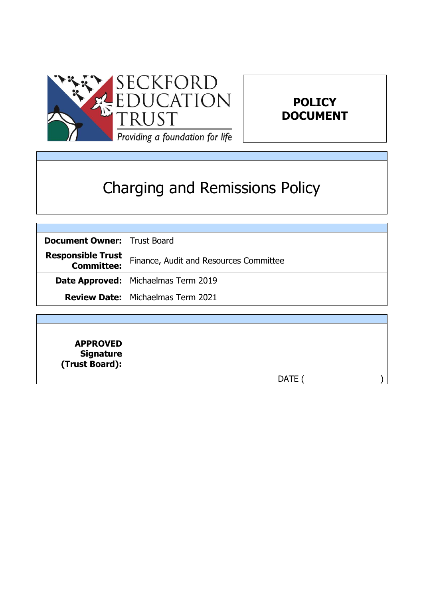



# Charging and Remissions Policy

| <b>Document Owner:   Trust Board</b>          |                                            |
|-----------------------------------------------|--------------------------------------------|
| <b>Responsible Trust</b><br><b>Committee:</b> | Finance, Audit and Resources Committee     |
|                                               | Date Approved:   Michaelmas Term 2019      |
|                                               | <b>Review Date:   Michaelmas Term 2021</b> |

| <b>APPROVED</b><br>  Signature<br>  (Trust Board): |             |  |
|----------------------------------------------------|-------------|--|
|                                                    | <b>DATE</b> |  |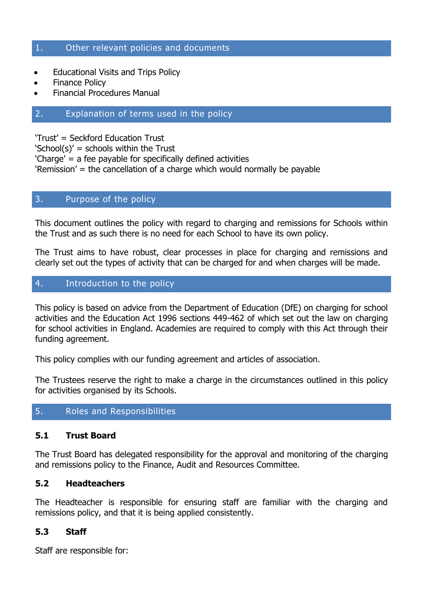#### 1. Other relevant policies and documents

- Educational Visits and Trips Policy
- Finance Policy
- Financial Procedures Manual

#### 2. Explanation of terms used in the policy

'Trust' = Seckford Education Trust

'School(s)' = schools within the Trust

'Charge' = a fee payable for specifically defined activities

'Remission' = the cancellation of a charge which would normally be payable

#### 3. Purpose of the policy

This document outlines the policy with regard to charging and remissions for Schools within the Trust and as such there is no need for each School to have its own policy.

The Trust aims to have robust, clear processes in place for charging and remissions and clearly set out the types of activity that can be charged for and when charges will be made.

#### 4. Introduction to the policy

This policy is based on advice from the Department of Education (DfE) on charging for school activities and the Education Act 1996 sections 449-462 of which set out the law on charging for school activities in England. Academies are required to comply with this Act through their funding agreement.

This policy complies with our funding agreement and articles of association.

The Trustees reserve the right to make a charge in the circumstances outlined in this policy for activities organised by its Schools.

#### 5. Roles and Responsibilities

#### **5.1 Trust Board**

The Trust Board has delegated responsibility for the approval and monitoring of the charging and remissions policy to the Finance, Audit and Resources Committee.

#### **5.2 Headteachers**

The Headteacher is responsible for ensuring staff are familiar with the charging and remissions policy, and that it is being applied consistently.

#### **5.3 Staff**

Staff are responsible for: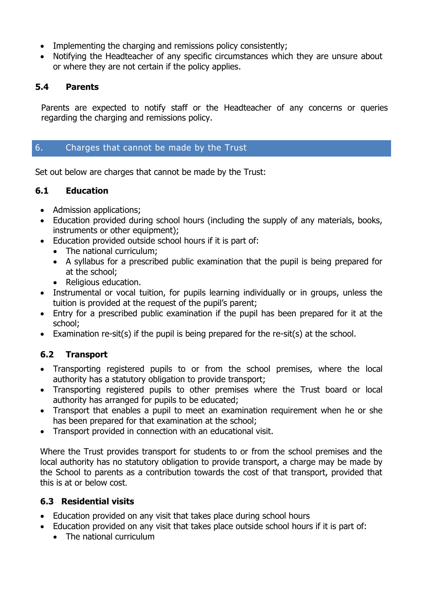- Implementing the charging and remissions policy consistently;
- Notifying the Headteacher of any specific circumstances which they are unsure about or where they are not certain if the policy applies.

# **5.4 Parents**

Parents are expected to notify staff or the Headteacher of any concerns or queries regarding the charging and remissions policy.

# 6. Charges that cannot be made by the Trust

Set out below are charges that cannot be made by the Trust:

# **6.1 Education**

- Admission applications;
- Education provided during school hours (including the supply of any materials, books, instruments or other equipment);
- Education provided outside school hours if it is part of:
	- The national curriculum;
	- A syllabus for a prescribed public examination that the pupil is being prepared for at the school;
	- Religious education.
- Instrumental or vocal tuition, for pupils learning individually or in groups, unless the tuition is provided at the request of the pupil's parent;
- Entry for a prescribed public examination if the pupil has been prepared for it at the school;
- Examination re-sit(s) if the pupil is being prepared for the re-sit(s) at the school.

# **6.2 Transport**

- Transporting registered pupils to or from the school premises, where the local authority has a statutory obligation to provide transport;
- Transporting registered pupils to other premises where the Trust board or local authority has arranged for pupils to be educated;
- Transport that enables a pupil to meet an examination requirement when he or she has been prepared for that examination at the school;
- Transport provided in connection with an educational visit.

Where the Trust provides transport for students to or from the school premises and the local authority has no statutory obligation to provide transport, a charge may be made by the School to parents as a contribution towards the cost of that transport, provided that this is at or below cost.

# **6.3 Residential visits**

- Education provided on any visit that takes place during school hours
- Education provided on any visit that takes place outside school hours if it is part of:
	- The national curriculum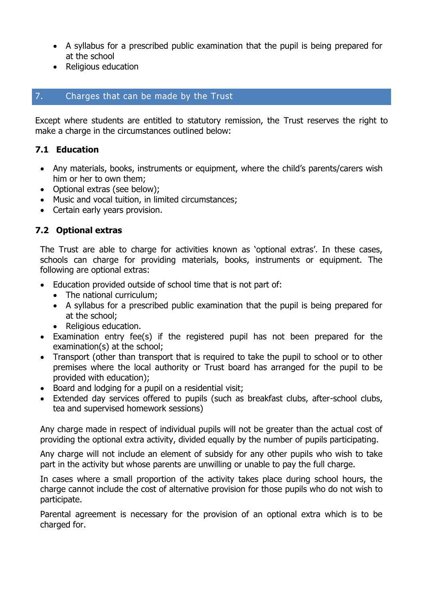- A syllabus for a prescribed public examination that the pupil is being prepared for at the school
- Religious education

#### 7. Charges that can be made by the Trust

Except where students are entitled to statutory remission, the Trust reserves the right to make a charge in the circumstances outlined below:

#### **7.1 Education**

- Any materials, books, instruments or equipment, where the child's parents/carers wish him or her to own them;
- Optional extras (see below);
- Music and vocal tuition, in limited circumstances;
- Certain early years provision.

# **7.2 Optional extras**

The Trust are able to charge for activities known as 'optional extras'. In these cases, schools can charge for providing materials, books, instruments or equipment. The following are optional extras:

- Education provided outside of school time that is not part of:
	- The national curriculum:
	- A syllabus for a prescribed public examination that the pupil is being prepared for at the school;
	- Religious education.
- Examination entry fee(s) if the registered pupil has not been prepared for the examination(s) at the school;
- Transport (other than transport that is required to take the pupil to school or to other premises where the local authority or Trust board has arranged for the pupil to be provided with education);
- Board and lodging for a pupil on a residential visit;
- Extended day services offered to pupils (such as breakfast clubs, after-school clubs, tea and supervised homework sessions)

Any charge made in respect of individual pupils will not be greater than the actual cost of providing the optional extra activity, divided equally by the number of pupils participating.

Any charge will not include an element of subsidy for any other pupils who wish to take part in the activity but whose parents are unwilling or unable to pay the full charge.

In cases where a small proportion of the activity takes place during school hours, the charge cannot include the cost of alternative provision for those pupils who do not wish to participate.

Parental agreement is necessary for the provision of an optional extra which is to be charged for.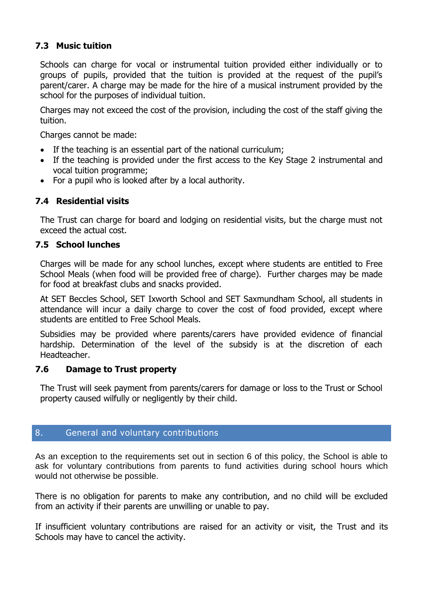# **7.3 Music tuition**

Schools can charge for vocal or instrumental tuition provided either individually or to groups of pupils, provided that the tuition is provided at the request of the pupil's parent/carer. A charge may be made for the hire of a musical instrument provided by the school for the purposes of individual tuition.

Charges may not exceed the cost of the provision, including the cost of the staff giving the tuition.

Charges cannot be made:

- If the teaching is an essential part of the national curriculum;
- If the teaching is provided under the first access to the Key Stage 2 instrumental and vocal tuition programme;
- For a pupil who is looked after by a local authority.

# **7.4 Residential visits**

The Trust can charge for board and lodging on residential visits, but the charge must not exceed the actual cost.

#### **7.5 School lunches**

Charges will be made for any school lunches, except where students are entitled to Free School Meals (when food will be provided free of charge). Further charges may be made for food at breakfast clubs and snacks provided.

At SET Beccles School, SET Ixworth School and SET Saxmundham School, all students in attendance will incur a daily charge to cover the cost of food provided, except where students are entitled to Free School Meals.

Subsidies may be provided where parents/carers have provided evidence of financial hardship. Determination of the level of the subsidy is at the discretion of each Headteacher.

#### **7.6 Damage to Trust property**

The Trust will seek payment from parents/carers for damage or loss to the Trust or School property caused wilfully or negligently by their child.

#### 8. General and voluntary contributions

As an exception to the requirements set out in section 6 of this policy, the School is able to ask for voluntary contributions from parents to fund activities during school hours which would not otherwise be possible.

There is no obligation for parents to make any contribution, and no child will be excluded from an activity if their parents are unwilling or unable to pay.

If insufficient voluntary contributions are raised for an activity or visit, the Trust and its Schools may have to cancel the activity.